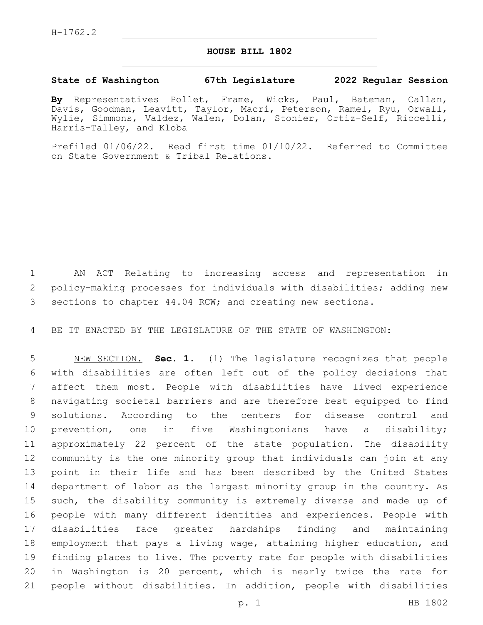## **HOUSE BILL 1802**

## **State of Washington 67th Legislature 2022 Regular Session**

**By** Representatives Pollet, Frame, Wicks, Paul, Bateman, Callan, Davis, Goodman, Leavitt, Taylor, Macri, Peterson, Ramel, Ryu, Orwall, Wylie, Simmons, Valdez, Walen, Dolan, Stonier, Ortiz-Self, Riccelli, Harris-Talley, and Kloba

Prefiled 01/06/22. Read first time 01/10/22. Referred to Committee on State Government & Tribal Relations.

 AN ACT Relating to increasing access and representation in policy-making processes for individuals with disabilities; adding new sections to chapter 44.04 RCW; and creating new sections.

BE IT ENACTED BY THE LEGISLATURE OF THE STATE OF WASHINGTON:

 NEW SECTION. **Sec. 1.** (1) The legislature recognizes that people with disabilities are often left out of the policy decisions that affect them most. People with disabilities have lived experience navigating societal barriers and are therefore best equipped to find solutions. According to the centers for disease control and prevention, one in five Washingtonians have a disability; approximately 22 percent of the state population. The disability community is the one minority group that individuals can join at any point in their life and has been described by the United States department of labor as the largest minority group in the country. As such, the disability community is extremely diverse and made up of people with many different identities and experiences. People with disabilities face greater hardships finding and maintaining employment that pays a living wage, attaining higher education, and finding places to live. The poverty rate for people with disabilities in Washington is 20 percent, which is nearly twice the rate for people without disabilities. In addition, people with disabilities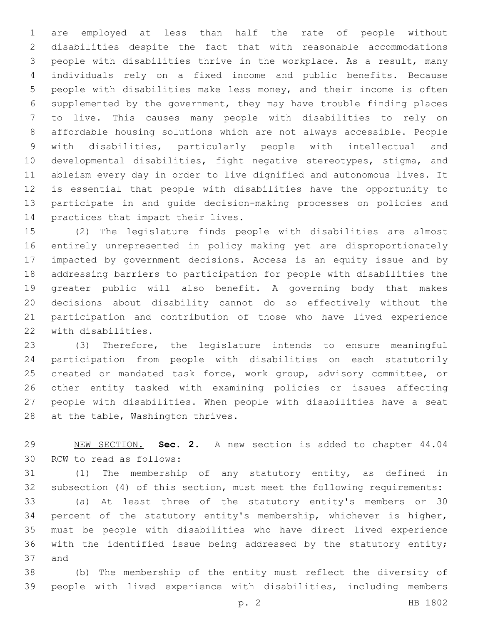are employed at less than half the rate of people without disabilities despite the fact that with reasonable accommodations people with disabilities thrive in the workplace. As a result, many individuals rely on a fixed income and public benefits. Because people with disabilities make less money, and their income is often supplemented by the government, they may have trouble finding places to live. This causes many people with disabilities to rely on affordable housing solutions which are not always accessible. People with disabilities, particularly people with intellectual and developmental disabilities, fight negative stereotypes, stigma, and ableism every day in order to live dignified and autonomous lives. It is essential that people with disabilities have the opportunity to participate in and guide decision-making processes on policies and 14 practices that impact their lives.

 (2) The legislature finds people with disabilities are almost entirely unrepresented in policy making yet are disproportionately impacted by government decisions. Access is an equity issue and by addressing barriers to participation for people with disabilities the greater public will also benefit. A governing body that makes decisions about disability cannot do so effectively without the participation and contribution of those who have lived experience 22 with disabilities.

 (3) Therefore, the legislature intends to ensure meaningful participation from people with disabilities on each statutorily created or mandated task force, work group, advisory committee, or other entity tasked with examining policies or issues affecting people with disabilities. When people with disabilities have a seat 28 at the table, Washington thrives.

 NEW SECTION. **Sec. 2.** A new section is added to chapter 44.04 30 RCW to read as follows:

 (1) The membership of any statutory entity, as defined in subsection (4) of this section, must meet the following requirements: (a) At least three of the statutory entity's members or 30 percent of the statutory entity's membership, whichever is higher, must be people with disabilities who have direct lived experience with the identified issue being addressed by the statutory entity; 37 and

 (b) The membership of the entity must reflect the diversity of people with lived experience with disabilities, including members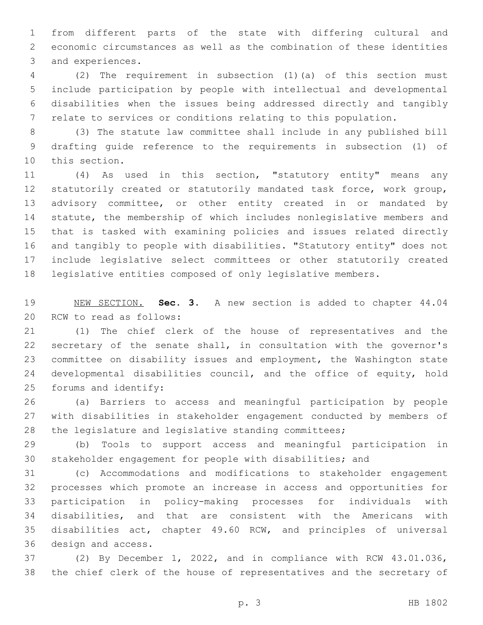from different parts of the state with differing cultural and economic circumstances as well as the combination of these identities 3 and experiences.

 (2) The requirement in subsection (1)(a) of this section must include participation by people with intellectual and developmental disabilities when the issues being addressed directly and tangibly relate to services or conditions relating to this population.

 (3) The statute law committee shall include in any published bill drafting guide reference to the requirements in subsection (1) of 10 this section.

 (4) As used in this section, "statutory entity" means any statutorily created or statutorily mandated task force, work group, advisory committee, or other entity created in or mandated by statute, the membership of which includes nonlegislative members and that is tasked with examining policies and issues related directly and tangibly to people with disabilities. "Statutory entity" does not include legislative select committees or other statutorily created legislative entities composed of only legislative members.

 NEW SECTION. **Sec. 3.** A new section is added to chapter 44.04 20 RCW to read as follows:

 (1) The chief clerk of the house of representatives and the secretary of the senate shall, in consultation with the governor's committee on disability issues and employment, the Washington state developmental disabilities council, and the office of equity, hold 25 forums and identify:

 (a) Barriers to access and meaningful participation by people with disabilities in stakeholder engagement conducted by members of the legislature and legislative standing committees;

 (b) Tools to support access and meaningful participation in stakeholder engagement for people with disabilities; and

 (c) Accommodations and modifications to stakeholder engagement processes which promote an increase in access and opportunities for participation in policy-making processes for individuals with disabilities, and that are consistent with the Americans with disabilities act, chapter 49.60 RCW, and principles of universal 36 design and access.

 (2) By December 1, 2022, and in compliance with RCW 43.01.036, the chief clerk of the house of representatives and the secretary of